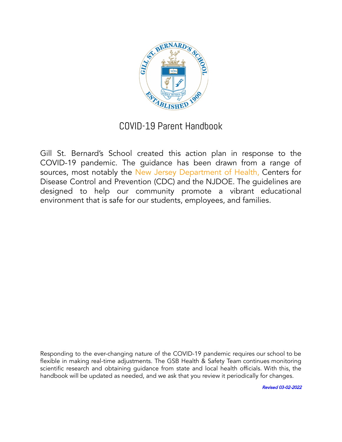

# COVID-19 Parent Handbook

Gill St. Bernard's School created this action plan in response to the COVID-19 pandemic. The guidance has been drawn from a range of sources, most notably the New Jersey Department of Health, Centers for Disease Control and Prevention (CDC) and the NJDOE. The guidelines are designed to help our community promote a vibrant educational environment that is safe for our students, employees, and families.

Responding to the ever-changing nature of the COVID-19 pandemic requires our school to be flexible in making real-time adjustments. The GSB Health & Safety Team continues monitoring scientific research and obtaining guidance from state and local health officials. With this, the handbook will be updated as needed, and we ask that you review it periodically for changes.

Revised 03-02-2022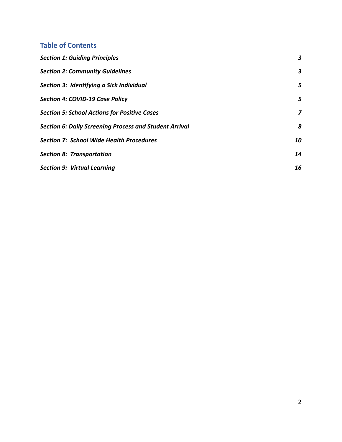# **Table of Contents**

| <b>Section 1: Guiding Principles</b>                   | 3  |
|--------------------------------------------------------|----|
| <b>Section 2: Community Guidelines</b>                 | 3  |
| Section 3: Identifying a Sick Individual               | 5  |
| Section 4: COVID-19 Case Policy                        | 5  |
| <b>Section 5: School Actions for Positive Cases</b>    | 7  |
| Section 6: Daily Screening Process and Student Arrival | 8  |
| <b>Section 7: School Wide Health Procedures</b>        | 10 |
| <b>Section 8: Transportation</b>                       | 14 |
| <b>Section 9: Virtual Learning</b>                     | 16 |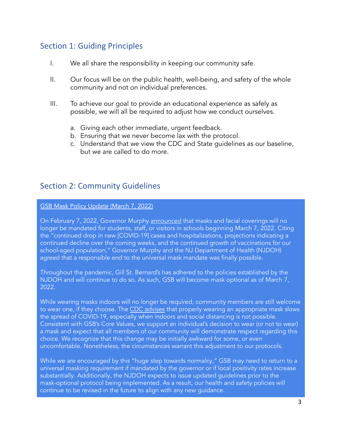# <span id="page-2-0"></span>Section 1: Guiding Principles

- I. We all share the responsibility in keeping our community safe.
- II. Our focus will be on the public health, well-being, and safety of the whole community and not on individual preferences.
- III. To achieve our goal to provide an educational experience as safely as possible, we will all be required to adjust how we conduct ourselves.
	- a. Giving each other immediate, urgent feedback.
	- b. Ensuring that we never become lax with the protocol.
	- c. Understand that we view the CDC and State guidelines as our baseline, but we are called to do more.

# <span id="page-2-1"></span>Section 2: Community Guidelines

#### GSB Mask Policy Update (March 7, 2022)

On February 7, 2022, Governor Murphy [announced](https://www.nj.gov/health/news/2022/approved/20220207d.shtml#:~:text=TRENTON%20%E2%80%93%20Noting%20the%20significant%20decline,centers%20effective%20March%207%2C%202022.) that masks and facial coverings will no longer be mandated for students, staff, or visitors in schools beginning March 7, 2022. Citing the "continued drop in new [COVID-19] cases and hospitalizations, projections indicating a continued decline over the coming weeks, and the continued growth of vaccinations for our school-aged population," Governor Murphy and the NJ Department of Health (NJDOH) agreed that a responsible end to the universal mask mandate was finally possible.

Throughout the pandemic, Gill St. Bernard's has adhered to the policies established by the NJDOH and will continue to do so. As such, GSB will become mask optional as of March 7, 2022.

While wearing masks indoors will no longer be required, community members are still welcome to wear one, if they choose. The CDC [advises](https://www.cdc.gov/coronavirus/2019-ncov/prevent-getting-sick/masks.html) that properly wearing an appropriate mask slows the spread of COVID-19, especially when indoors and social distancing is not possible. Consistent with GSB's Core Values, we support an individual's decision to wear (or not to wear) a mask and expect that all members of our community will demonstrate respect regarding this choice. We recognize that this change may be initially awkward for some, or even uncomfortable. Nonetheless, the circumstances warrant this adjustment to our protocols.

While we are encouraged by this "huge step towards normalcy," GSB may need to return to a universal masking requirement if mandated by the governor or if local positivity rates increase substantially. Additionally, the NJDOH expects to issue updated guidelines prior to the mask-optional protocol being implemented. As a result, our health and safety policies will continue to be revised in the future to align with any new guidance.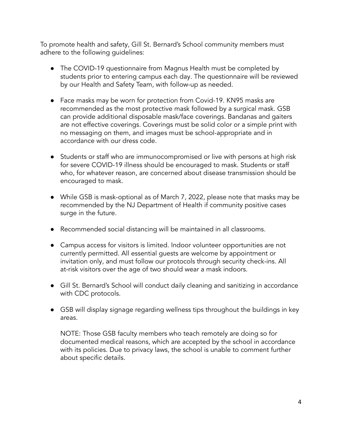To promote health and safety, Gill St. Bernard's School community members must adhere to the following guidelines:

- The COVID-19 questionnaire from Magnus Health must be completed by students prior to entering campus each day. The questionnaire will be reviewed by our Health and Safety Team, with follow-up as needed.
- Face masks may be worn for protection from Covid-19. KN95 masks are recommended as the most protective mask followed by a surgical mask. GSB can provide additional disposable mask/face coverings. Bandanas and gaiters are not effective coverings. Coverings must be solid color or a simple print with no messaging on them, and images must be school-appropriate and in accordance with our dress code.
- Students or staff who are immunocompromised or live with persons at high risk for severe COVID-19 illness should be encouraged to mask. Students or staff who, for whatever reason, are concerned about disease transmission should be encouraged to mask.
- While GSB is mask-optional as of March 7, 2022, please note that masks may be recommended by the NJ Department of Health if community positive cases surge in the future.
- Recommended social distancing will be maintained in all classrooms.
- Campus access for visitors is limited. Indoor volunteer opportunities are not currently permitted. All essential guests are welcome by appointment or invitation only, and must follow our protocols through security check-ins. All at-risk visitors over the age of two should wear a mask indoors.
- Gill St. Bernard's School will conduct daily cleaning and sanitizing in accordance with CDC protocols.
- GSB will display signage regarding wellness tips throughout the buildings in key areas.

NOTE: Those GSB faculty members who teach remotely are doing so for documented medical reasons, which are accepted by the school in accordance with its policies. Due to privacy laws, the school is unable to comment further about specific details.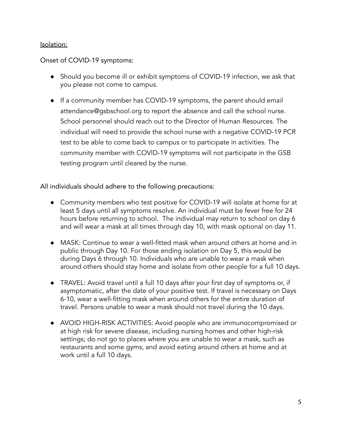#### Isolation:

#### Onset of COVID-19 symptoms:

- Should you become ill or exhibit symptoms of COVID-19 infection, we ask that you please not come to campus.
- If a community member has COVID-19 symptoms, the parent should email attendance@gsbschool.org to report the absence and call the school nurse. School personnel should reach out to the Director of Human Resources. The individual will need to provide the school nurse with a negative COVID-19 PCR test to be able to come back to campus or to participate in activities. The community member with COVID-19 symptoms will not participate in the GSB testing program until cleared by the nurse.

All individuals should adhere to the following precautions:

- Community members who test positive for COVID-19 will isolate at home for at least 5 days until all symptoms resolve. An individual must be fever free for 24 hours before returning to school. The individual may return to school on day 6 and will wear a mask at all times through day 10, with mask optional on day 11.
- MASK: Continue to wear a well-fitted mask when around others at home and in public through Day 10. For those ending isolation on Day 5, this would be during Days 6 through 10. Individuals who are unable to wear a mask when around others should stay home and isolate from other people for a full 10 days.
- TRAVEL: Avoid travel until a full 10 days after your first day of symptoms or, if asymptomatic, after the date of your positive test. If travel is necessary on Days 6-10, wear a well-fitting mask when around others for the entire duration of travel. Persons unable to wear a mask should not travel during the 10 days.
- AVOID HIGH-RISK ACTIVITIES: Avoid people who are immunocompromised or at high risk for severe disease, including nursing homes and other high-risk settings; do not go to places where you are unable to wear a mask, such as restaurants and some gyms, and avoid eating around others at home and at work until a full 10 days.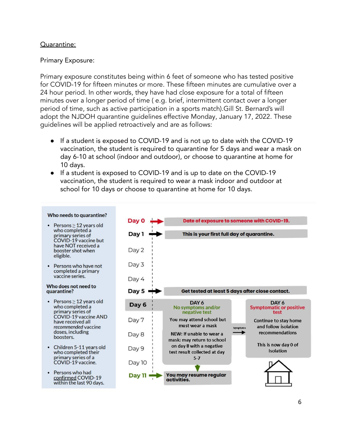#### Quarantine:

#### Primary Exposure:

Primary exposure constitutes being within 6 feet of someone who has tested positive for COVID-19 for fifteen minutes or more. These fifteen minutes are cumulative over a 24 hour period. In other words, they have had close exposure for a total of fifteen minutes over a longer period of time ( e.g. brief, intermittent contact over a longer period of time, such as active participation in a sports match).Gill St. Bernard's will adopt the NJDOH quarantine guidelines effective Monday, January 17, 2022. These guidelines will be applied retroactively and are as follows:

- **●** If a student is exposed to COVID-19 and is not up to date with the COVID-19 vaccination, the student is required to quarantine for 5 days and wear a mask on day 6-10 at school (indoor and outdoor), or choose to quarantine at home for 10 days.
- If a student is exposed to COVID-19 and is up to date on the COVID-19 vaccination, the student is required to wear a mask indoor and outdoor at school for 10 days or choose to quarantine at home for 10 days.

#### Who needs to quarantine?

- Persons  $\geq$  12 years old who completed a primary series of COVID-19 vaccine but have NOT received a booster shot when eligible.
- Persons who have not completed a primary vaccine series.

#### Who does not need to quarantine?

- Persons  $\geq$  12 years old who completed a primary series of COVID-19 vaccine AND have received all recommended vaccine doses, including boosters.
- Children 5-11 years old who completed their primary series of a<br>COVID-19 vaccine.
- Persons who had confirmed COVID-19 within the last 90 days.

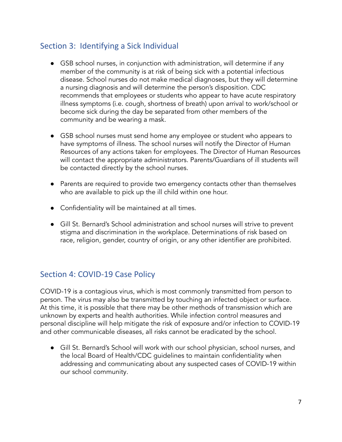# Section 3: Identifying a Sick Individual

- GSB school nurses, in conjunction with administration, will determine if any member of the community is at risk of being sick with a potential infectious disease. School nurses do not make medical diagnoses, but they will determine a nursing diagnosis and will determine the person's disposition. CDC recommends that employees or students who appear to have acute respiratory illness symptoms (i.e. cough, shortness of breath) upon arrival to work/school or become sick during the day be separated from other members of the community and be wearing a mask.
- GSB school nurses must send home any employee or student who appears to have symptoms of illness. The school nurses will notify the Director of Human Resources of any actions taken for employees. The Director of Human Resources will contact the appropriate administrators. Parents/Guardians of ill students will be contacted directly by the school nurses.
- Parents are required to provide two emergency contacts other than themselves who are available to pick up the ill child within one hour.
- Confidentiality will be maintained at all times.
- <span id="page-6-0"></span>● Gill St. Bernard's School administration and school nurses will strive to prevent stigma and discrimination in the workplace. Determinations of risk based on race, religion, gender, country of origin, or any other identifier are prohibited.

# Section 4: COVID-19 Case Policy

COVID-19 is a contagious virus, which is most commonly transmitted from person to person. The virus may also be transmitted by touching an infected object or surface. At this time, it is possible that there may be other methods of transmission which are unknown by experts and health authorities. While infection control measures and personal discipline will help mitigate the risk of exposure and/or infection to COVID-19 and other communicable diseases, all risks cannot be eradicated by the school.

● Gill St. Bernard's School will work with our school physician, school nurses, and the local Board of Health/CDC guidelines to maintain confidentiality when addressing and communicating about any suspected cases of COVID-19 within our school community.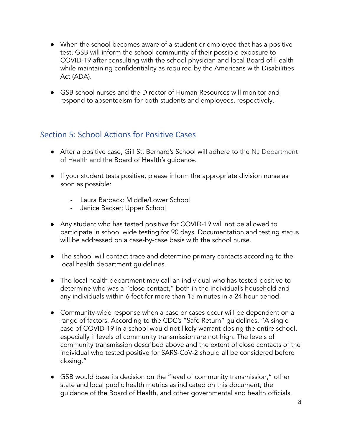- When the school becomes aware of a student or employee that has a positive test, GSB will inform the school community of their possible exposure to COVID-19 after consulting with the school physician and local Board of Health while maintaining confidentiality as required by the Americans with Disabilities Act (ADA).
- GSB school nurses and the Director of Human Resources will monitor and respond to absenteeism for both students and employees, respectively.

# Section 5: School Actions for Positive Cases

- After a positive case, Gill St. Bernard's School will adhere to the NJ Department of Health and the Board of Health's guidance.
- If your student tests positive, please inform the appropriate division nurse as soon as possible:
	- Laura Barback: Middle/Lower School
	- Janice Backer: Upper School
- Any student who has tested positive for COVID-19 will not be allowed to participate in school wide testing for 90 days. Documentation and testing status will be addressed on a case-by-case basis with the school nurse.
- The school will contact trace and determine primary contacts according to the local health department guidelines.
- The local health department may call an individual who has tested positive to determine who was a "close contact," both in the individual's household and any individuals within 6 feet for more than 15 minutes in a 24 hour period.
- Community-wide response when a case or cases occur will be dependent on a range of factors. According to the CDC's "Safe Return" guidelines, "A single case of COVID-19 in a school would not likely warrant closing the entire school, especially if levels of community transmission are not high. The levels of community transmission described above and the extent of close contacts of the individual who tested positive for SARS-CoV-2 should all be considered before closing."
- GSB would base its decision on the "level of community transmission," other state and local public health metrics as indicated on this document, the guidance of the Board of Health, and other governmental and health officials.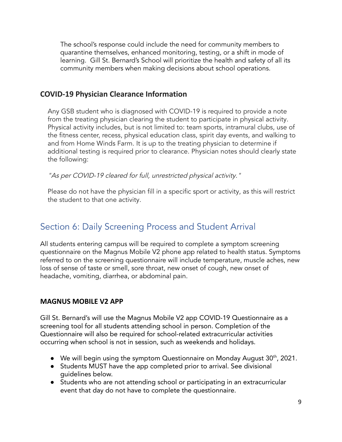The school's response could include the need for community members to quarantine themselves, enhanced monitoring, testing, or a shift in mode of learning. Gill St. Bernard's School will prioritize the health and safety of all its community members when making decisions about school operations.

# **COVID-19 Physician Clearance Information**

Any GSB student who is diagnosed with COVID-19 is required to provide a note from the treating physician clearing the student to participate in physical activity. Physical activity includes, but is not limited to: team sports, intramural clubs, use of the fitness center, recess, physical education class, spirit day events, and walking to and from Home Winds Farm. It is up to the treating physician to determine if additional testing is required prior to clearance. Physician notes should clearly state the following:

"As per COVID-19 cleared for full, unrestricted physical activity."

Please do not have the physician fill in a specific sport or activity, as this will restrict the student to that one activity.

# <span id="page-8-0"></span>Section 6: Daily Screening Process and Student Arrival

All students entering campus will be required to complete a symptom screening questionnaire on the Magnus Mobile V2 phone app related to health status. Symptoms referred to on the screening questionnaire will include temperature, muscle aches, new loss of sense of taste or smell, sore throat, new onset of cough, new onset of headache, vomiting, diarrhea, or abdominal pain.

## **MAGNUS MOBILE V2 APP**

Gill St. Bernard's will use the Magnus Mobile V2 app COVID-19 Questionnaire as a screening tool for all students attending school in person. Completion of the Questionnaire will also be required for school-related extracurricular activities occurring when school is not in session, such as weekends and holidays.

- We will begin using the symptom Questionnaire on Monday August 30<sup>th</sup>, 2021.
- **●** Students MUST have the app completed prior to arrival. See divisional guidelines below.
- **●** Students who are not attending school or participating in an extracurricular event that day do not have to complete the questionnaire.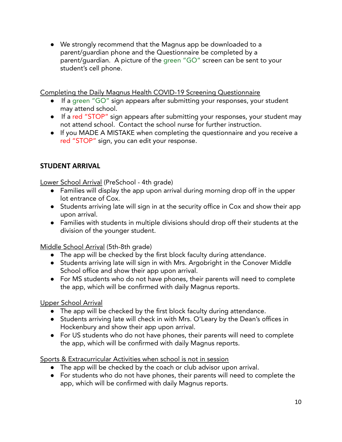**●** We strongly recommend that the Magnus app be downloaded to a parent/guardian phone and the Questionnaire be completed by a parent/guardian. A picture of the green "GO" screen can be sent to your student's cell phone.

Completing the Daily Magnus Health COVID-19 Screening Questionnaire

- **●** If a green "GO" sign appears after submitting your responses, your student may attend school.
- **●** If a red "STOP" sign appears after submitting your responses, your student may not attend school. Contact the school nurse for further instruction.
- **●** If you MADE A MISTAKE when completing the questionnaire and you receive a red "STOP" sign, you can edit your response.

# **STUDENT ARRIVAL**

Lower School Arrival (PreSchool - 4th grade)

- **●** Families will display the app upon arrival during morning drop off in the upper lot entrance of Cox.
- **●** Students arriving late will sign in at the security office in Cox and show their app upon arrival.
- **●** Families with students in multiple divisions should drop off their students at the division of the younger student.

Middle School Arrival (5th-8th grade)

- **●** The app will be checked by the first block faculty during attendance.
- **●** Students arriving late will sign in with Mrs. Argobright in the Conover Middle School office and show their app upon arrival.
- **●** For MS students who do not have phones, their parents will need to complete the app, which will be confirmed with daily Magnus reports.

Upper School Arrival

- **●** The app will be checked by the first block faculty during attendance.
- **●** Students arriving late will check in with Mrs. O'Leary by the Dean's offices in Hockenbury and show their app upon arrival.
- **●** For US students who do not have phones, their parents will need to complete the app, which will be confirmed with daily Magnus reports.

Sports & Extracurricular Activities when school is not in session

- **●** The app will be checked by the coach or club advisor upon arrival.
- **●** For students who do not have phones, their parents will need to complete the app, which will be confirmed with daily Magnus reports.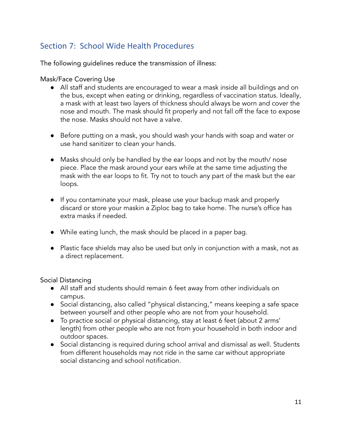# Section 7: School Wide Health Procedures

The following guidelines reduce the transmission of illness:

#### Mask/Face Covering Use

- All staff and students are encouraged to wear a mask inside all buildings and on the bus, except when eating or drinking, regardless of vaccination status. Ideally, a mask with at least two layers of thickness should always be worn and cover the nose and mouth. The mask should fit properly and not fall off the face to expose the nose. Masks should not have a valve.
- Before putting on a mask, you should wash your hands with soap and water or use hand sanitizer to clean your hands.
- Masks should only be handled by the ear loops and not by the mouth/ nose piece. Place the mask around your ears while at the same time adjusting the mask with the ear loops to fit. Try not to touch any part of the mask but the ear loops.
- If you contaminate your mask, please use your backup mask and properly discard or store your maskin a Ziploc bag to take home. The nurse's office has extra masks if needed.
- While eating lunch, the mask should be placed in a paper bag.
- Plastic face shields may also be used but only in conjunction with a mask, not as a direct replacement.

Social Distancing

- All staff and students should remain 6 feet away from other individuals on campus.
- Social distancing, also called "physical distancing," means keeping a safe space between yourself and other people who are not from your household.
- To practice social or physical distancing, stay at least 6 feet (about 2 arms' length) from other people who are not from your household in both indoor and outdoor spaces.
- Social distancing is required during school arrival and dismissal as well. Students from different households may not ride in the same car without appropriate social distancing and school notification.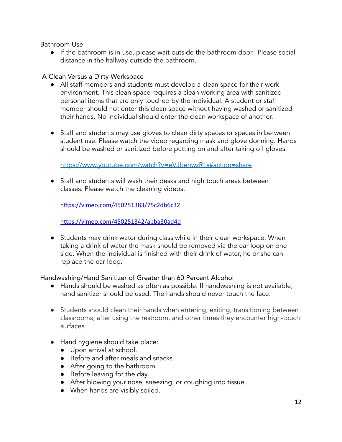Bathroom Use

**●** If the bathroom is in use, please wait outside the bathroom door. Please social distance in the hallway outside the bathroom.

## A Clean Versus a Dirty Workspace

- All staff members and students must develop a clean space for their work environment. This clean space requires a clean working area with sanitized personal items that are only touched by the individual. A student or staff member should not enter this clean space without having washed or sanitized their hands. No individual should enter the clean workspace of another.
- Staff and students may use gloves to clean dirty spaces or spaces in between student use. Please watch the video regarding mask and glove donning. Hands should be washed or sanitized before putting on and after taking off gloves.

<https://www.youtube.com/watch?v=eVJbenwzR1s#action=share>

● Staff and students will wash their desks and high touch areas between classes. Please watch the cleaning videos.

<https://vimeo.com/450251383/75c2db6c32>

<https://vimeo.com/450251342/abba30ad4d>

● Students may drink water during class while in their clean workspace. When taking a drink of water the mask should be removed via the ear loop on one side. When the individual is finished with their drink of water, he or she can replace the ear loop.

Handwashing/Hand Sanitizer of Greater than 60 Percent Alcohol

- Hands should be washed as often as possible. If handwashing is not available, hand sanitizer should be used. The hands should never touch the face.
- Students should clean their hands when entering, exiting, transitioning between classrooms, after using the restroom, and other times they encounter high-touch surfaces.
- Hand hygiene should take place:
	- Upon arrival at school.
	- Before and after meals and snacks.
	- After going to the bathroom.
	- Before leaving for the day.
	- After blowing your nose, sneezing, or coughing into tissue.
	- When hands are visibly soiled.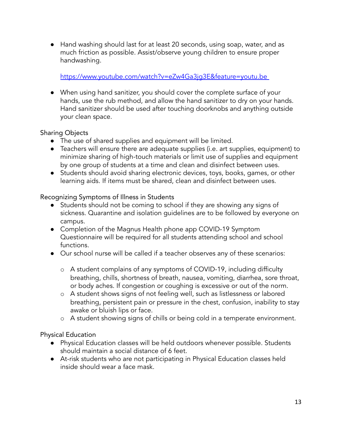● Hand washing should last for at least 20 seconds, using soap, water, and as much friction as possible. Assist/observe young children to ensure proper handwashing.

## <https://www.youtube.com/watch?v=eZw4Ga3jg3E&feature=youtu.be>

● When using hand sanitizer, you should cover the complete surface of your hands, use the rub method, and allow the hand sanitizer to dry on your hands. Hand sanitizer should be used after touching doorknobs and anything outside your clean space.

## Sharing Objects

- The use of shared supplies and equipment will be limited.
- Teachers will ensure there are adequate supplies (i.e. art supplies, equipment) to minimize sharing of high-touch materials or limit use of supplies and equipment by one group of students at a time and clean and disinfect between uses.
- Students should avoid sharing electronic devices, toys, books, games, or other learning aids. If items must be shared, clean and disinfect between uses.

## Recognizing Symptoms of Illness in Students

- Students should not be coming to school if they are showing any signs of sickness. Quarantine and isolation guidelines are to be followed by everyone on campus.
- Completion of the Magnus Health phone app COVID-19 Symptom Questionnaire will be required for all students attending school and school functions.
- Our school nurse will be called if a teacher observes any of these scenarios:
	- o A student complains of any symptoms of COVID-19, including difficulty breathing, chills, shortness of breath, nausea, vomiting, diarrhea, sore throat, or body aches. If congestion or coughing is excessive or out of the norm.
	- o A student shows signs of not feeling well, such as listlessness or labored breathing, persistent pain or pressure in the chest, confusion, inability to stay awake or bluish lips or face.
	- o A student showing signs of chills or being cold in a temperate environment.

Physical Education

- Physical Education classes will be held outdoors whenever possible. Students should maintain a social distance of 6 feet.
- At-risk students who are not participating in Physical Education classes held inside should wear a face mask.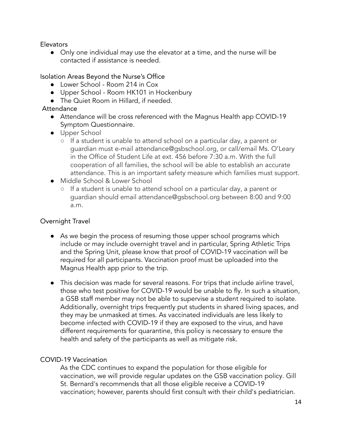Elevators

● Only one individual may use the elevator at a time, and the nurse will be contacted if assistance is needed.

## Isolation Areas Beyond the Nurse's Office

- Lower School Room 214 in Cox
- Upper School Room HK101 in Hockenbury
- **●** The Quiet Room in Hillard, if needed.

## Attendance

- Attendance will be cross referenced with the Magnus Health app COVID-19 Symptom Questionnaire.
- Upper School
	- If a student is unable to attend school on a particular day, a parent or guardian must e-mail attendance@gsbschool.org, or call/email Ms. O'Leary in the Office of Student Life at ext. 456 before 7:30 a.m. With the full cooperation of all families, the school will be able to establish an accurate attendance. This is an important safety measure which families must support.
- Middle School & Lower School
	- If a student is unable to attend school on a particular day, a parent or guardian should email attendance@gsbschool.org between 8:00 and 9:00 a.m.

### Overnight Travel

- As we begin the process of resuming those upper school programs which include or may include overnight travel and in particular, Spring Athletic Trips and the Spring Unit, please know that proof of COVID-19 vaccination will be required for all participants. Vaccination proof must be uploaded into the Magnus Health app prior to the trip.
- This decision was made for several reasons. For trips that include airline travel, those who test positive for COVID-19 would be unable to fly. In such a situation, a GSB staff member may not be able to supervise a student required to isolate. Additionally, overnight trips frequently put students in shared living spaces, and they may be unmasked at times. As vaccinated individuals are less likely to become infected with COVID-19 if they are exposed to the virus, and have different requirements for quarantine, this policy is necessary to ensure the health and safety of the participants as well as mitigate risk.

### COVID-19 Vaccination

As the CDC continues to expand the population for those eligible for vaccination, we will provide regular updates on the GSB vaccination policy. Gill St. Bernard's recommends that all those eligible receive a COVID-19 vaccination; however, parents should first consult with their child's pediatrician.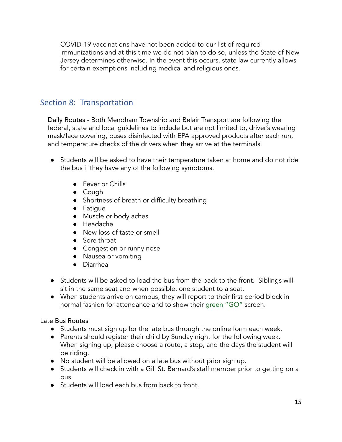COVID-19 vaccinations have not been added to our list of required immunizations and at this time we do not plan to do so, unless the State of New Jersey determines otherwise. In the event this occurs, state law currently allows for certain exemptions including medical and religious ones.

# Section 8: Transportation

Daily Routes - Both Mendham Township and Belair Transport are following the federal, state and local guidelines to include but are not limited to, driver's wearing mask/face covering, buses disinfected with EPA approved products after each run, and temperature checks of the drivers when they arrive at the terminals.

- Students will be asked to have their temperature taken at home and do not ride the bus if they have any of the following symptoms.
	- Fever or Chills
	- Cough
	- Shortness of breath or difficulty breathing
	- Fatigue
	- Muscle or body aches
	- Headache
	- New loss of taste or smell
	- Sore throat
	- Congestion or runny nose
	- Nausea or vomiting
	- Diarrhea
- Students will be asked to load the bus from the back to the front. Siblings will sit in the same seat and when possible, one student to a seat.
- When students arrive on campus, they will report to their first period block in normal fashion for attendance and to show their green "GO" screen.

Late Bus Routes

- Students must sign up for the late bus through the online form each week.
- Parents should register their child by Sunday night for the following week. When signing up, please choose a route, a stop, and the days the student will be riding.
- No student will be allowed on a late bus without prior sign up.
- Students will check in with a Gill St. Bernard's staff member prior to getting on a bus.
- Students will load each bus from back to front.